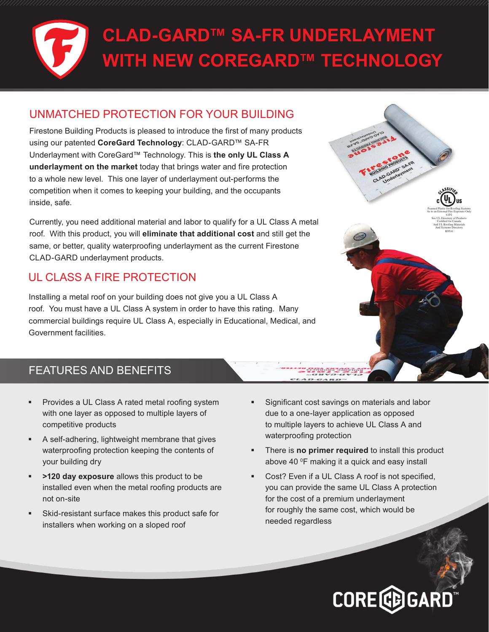## **CLAD-GARD™ SA-FR UNDERLAYMENT WITH NEW COREGARD™ TECHNOLOGY**

#### UNMATCHED PROTECTION FOR YOUR BUILDING

Firestone Building Products is pleased to introduce the first of many products using our patented **CoreGard Technology**: CLAD-GARD™ SA-FR Underlayment with CoreGard™ Technology. This is **the only UL Class A underlayment on the market** today that brings water and fire protection to a whole new level. This one layer of underlayment out-performs the competition when it comes to keeping your building, and the occupants inside, safe.

Currently, you need additional material and labor to qualify for a UL Class A metal roof. With this product, you will **eliminate that additional cost** and still get the same, or better, quality waterproofing underlayment as the current Firestone CLAD-GARD underlayment products.

#### UL CLASS A FIRE PROTECTION

Installing a metal roof on your building does not give you a UL Class A roof. You must have a UL Class A system in order to have this rating. Many commercial buildings require UL Class A, especially in Educational, Medical, and Government facilities.

#### FEATURES AND BENEFITS

- Provides a UL Class A rated metal roofing system with one layer as opposed to multiple layers of competitive products
- A self-adhering, lightweight membrane that gives waterproofing protection keeping the contents of your building dry
- **>120 day exposure** allows this product to be installed even when the metal roofing products are not on-site
- Skid-resistant surface makes this product safe for installers when working on a sloped roof
- Significant cost savings on materials and labor due to a one-layer application as opposed to multiple layers to achieve UL Class A and waterproofing protection
- There is **no primer required** to install this product above 40 <sup>o</sup>F making it a quick and easy install
- Cost? Even if a UL Class A roof is not specified, you can provide the same UL Class A protection for the cost of a premium underlayment for roughly the same cost, which would be needed regardless

# **CORE CD GARD**

Foamed Plastic for Roofing Systems As to an External Fire Exposure Only 61P2 See UL Directory of Products Certified for Canada And UL Roofing Materials And Systems Directory R9516